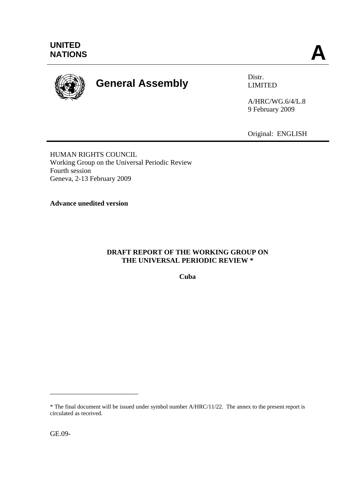

# **General Assembly Distra Distra Distra Distra Concerns**

LIMITED

A/HRC/WG.6/4/L.8 9 February 2009

Original: ENGLISH

HUMAN RIGHTS COUNCIL Working Group on the Universal Periodic Review Fourth session Geneva, 2-13 February 2009

**Advance unedited version**

\_\_\_\_\_\_\_\_\_\_\_\_\_\_\_\_\_\_\_\_\_\_\_\_\_

#### **DRAFT REPORT OF THE WORKING GROUP ON THE UNIVERSAL PERIODIC REVIEW \***

**Cuba** 

GE.09-

<sup>\*</sup> The final document will be issued under symbol number A/HRC/11/22. The annex to the present report is circulated as received.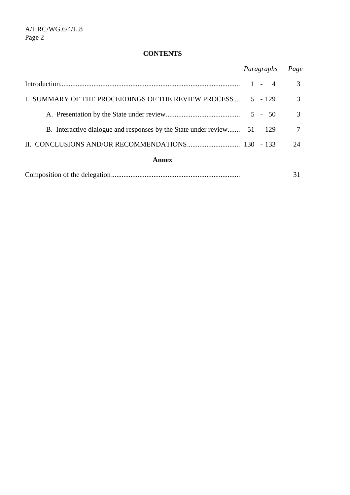## **CONTENTS**

|                                                                          | Paragraphs | Page |
|--------------------------------------------------------------------------|------------|------|
|                                                                          | $1 - 4$    | 3    |
| I. SUMMARY OF THE PROCEEDINGS OF THE REVIEW PROCESS                      | $5 - 129$  | 3    |
|                                                                          |            | 3    |
| B. Interactive dialogue and responses by the State under review 51 - 129 |            | 7    |
|                                                                          |            | 24   |
| Annex                                                                    |            |      |

|--|--|--|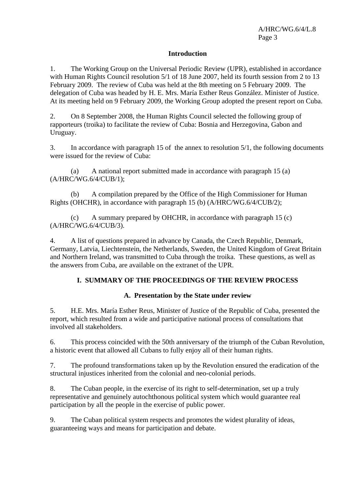#### **Introduction**

1. The Working Group on the Universal Periodic Review (UPR), established in accordance with Human Rights Council resolution 5/1 of 18 June 2007, held its fourth session from 2 to 13 February 2009. The review of Cuba was held at the 8th meeting on 5 February 2009. The delegation of Cuba was headed by H. E. Mrs. María Esther Reus González. Minister of Justice. At its meeting held on 9 February 2009, the Working Group adopted the present report on Cuba.

2. On 8 September 2008, the Human Rights Council selected the following group of rapporteurs (troika) to facilitate the review of Cuba: Bosnia and Herzegovina, Gabon and Uruguay.

3. In accordance with paragraph 15 of the annex to resolution 5/1, the following documents were issued for the review of Cuba:

 (a) A national report submitted made in accordance with paragraph 15 (a) (A/HRC/WG.6/4/CUB/1);

 (b) A compilation prepared by the Office of the High Commissioner for Human Rights (OHCHR), in accordance with paragraph 15 (b) (A/HRC/WG.6/4/CUB/2);

 (c) A summary prepared by OHCHR, in accordance with paragraph 15 (c) (A/HRC/WG.6/4/CUB/3).

4. A list of questions prepared in advance by Canada, the Czech Republic, Denmark, Germany, Latvia, Liechtenstein, the Netherlands, Sweden, the United Kingdom of Great Britain and Northern Ireland, was transmitted to Cuba through the troika. These questions, as well as the answers from Cuba, are available on the extranet of the UPR.

### **I. SUMMARY OF THE PROCEEDINGS OF THE REVIEW PROCESS**

#### **A. Presentation by the State under review**

5. H.E. Mrs. María Esther Reus, Minister of Justice of the Republic of Cuba, presented the report, which resulted from a wide and participative national process of consultations that involved all stakeholders.

6. This process coincided with the 50th anniversary of the triumph of the Cuban Revolution, a historic event that allowed all Cubans to fully enjoy all of their human rights.

7. The profound transformations taken up by the Revolution ensured the eradication of the structural injustices inherited from the colonial and neo-colonial periods.

8. The Cuban people, in the exercise of its right to self-determination, set up a truly representative and genuinely autochthonous political system which would guarantee real participation by all the people in the exercise of public power.

9. The Cuban political system respects and promotes the widest plurality of ideas, guaranteeing ways and means for participation and debate.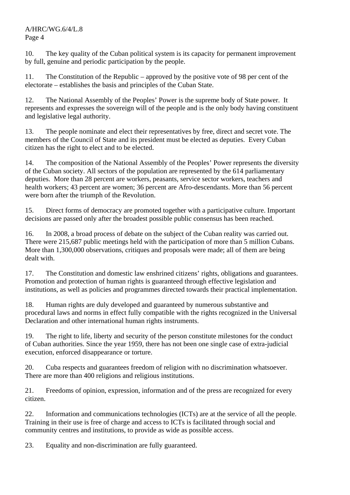10. The key quality of the Cuban political system is its capacity for permanent improvement by full, genuine and periodic participation by the people.

11. The Constitution of the Republic – approved by the positive vote of 98 per cent of the electorate – establishes the basis and principles of the Cuban State.

12. The National Assembly of the Peoples' Power is the supreme body of State power. It represents and expresses the sovereign will of the people and is the only body having constituent and legislative legal authority.

13. The people nominate and elect their representatives by free, direct and secret vote. The members of the Council of State and its president must be elected as deputies. Every Cuban citizen has the right to elect and to be elected.

14. The composition of the National Assembly of the Peoples' Power represents the diversity of the Cuban society. All sectors of the population are represented by the 614 parliamentary deputies. More than 28 percent are workers, peasants, service sector workers, teachers and health workers; 43 percent are women; 36 percent are Afro-descendants. More than 56 percent were born after the triumph of the Revolution.

15. Direct forms of democracy are promoted together with a participative culture. Important decisions are passed only after the broadest possible public consensus has been reached.

16. In 2008, a broad process of debate on the subject of the Cuban reality was carried out. There were 215,687 public meetings held with the participation of more than 5 million Cubans. More than 1,300,000 observations, critiques and proposals were made; all of them are being dealt with.

17. The Constitution and domestic law enshrined citizens' rights, obligations and guarantees. Promotion and protection of human rights is guaranteed through effective legislation and institutions, as well as policies and programmes directed towards their practical implementation.

18. Human rights are duly developed and guaranteed by numerous substantive and procedural laws and norms in effect fully compatible with the rights recognized in the Universal Declaration and other international human rights instruments.

19. The right to life, liberty and security of the person constitute milestones for the conduct of Cuban authorities. Since the year 1959, there has not been one single case of extra-judicial execution, enforced disappearance or torture.

20. Cuba respects and guarantees freedom of religion with no discrimination whatsoever. There are more than 400 religions and religious institutions.

21. Freedoms of opinion, expression, information and of the press are recognized for every citizen.

22. Information and communications technologies (ICTs) are at the service of all the people. Training in their use is free of charge and access to ICTs is facilitated through social and community centres and institutions, to provide as wide as possible access.

23. Equality and non-discrimination are fully guaranteed.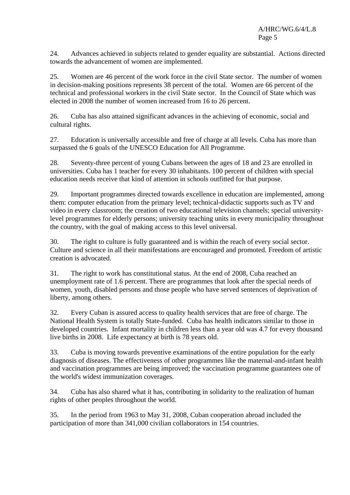24. Advances achieved in subjects related to gender equality are substantial. Actions directed towards the advancement of women are implemented.

25. Women are 46 percent of the work force in the civil State sector. The number of women in decision-making positions represents 38 percent of the total. Women are 66 percent of the technical and professional workers in the civil State sector. In the Council of State which was elected in 2008 the number of women increased from 16 to 26 percent.

26. Cuba has also attained significant advances in the achieving of economic, social and cultural rights.

27. Education is universally accessible and free of charge at all levels. Cuba has more than surpassed the 6 goals of the UNESCO Education for All Programme.

28. Seventy-three percent of young Cubans between the ages of 18 and 23 are enrolled in universities. Cuba has 1 teacher for every 30 inhabitants. 100 percent of children with special education needs receive that kind of attention in schools outfitted for that purpose.

29. Important programmes directed towards excellence in education are implemented, among them: computer education from the primary level; technical-didactic supports such as TV and video in every classroom; the creation of two educational television channels; special universitylevel programmes for elderly persons; university teaching units in every municipality throughout the country, with the goal of making access to this level universal.

30. The right to culture is fully guaranteed and is within the reach of every social sector. Culture and science in all their manifestations are encouraged and promoted. Freedom of artistic creation is advocated.

31. The right to work has constitutional status. At the end of 2008, Cuba reached an unemployment rate of 1.6 percent. There are programmes that look after the special needs of women, youth, disabled persons and those people who have served sentences of deprivation of liberty, among others.

32. Every Cuban is assured access to quality health services that are free of charge. The National Health System is totally State-funded. Cuba has health indicators similar to those in developed countries. Infant mortality in children less than a year old was 4.7 for every thousand live births in 2008. Life expectancy at birth is 78 years old.

33. Cuba is moving towards preventive examinations of the entire population for the early diagnosis of diseases. The effectiveness of other programmes like the maternal-and-infant health and vaccination programmes are being improved; the vaccination programme guarantees one of the world's widest immunization coverages.

34. Cuba has also shared what it has, contributing in solidarity to the realization of human rights of other peoples throughout the world.

35. In the period from 1963 to May 31, 2008, Cuban cooperation abroad included the participation of more than 341,000 civilian collaborators in 154 countries.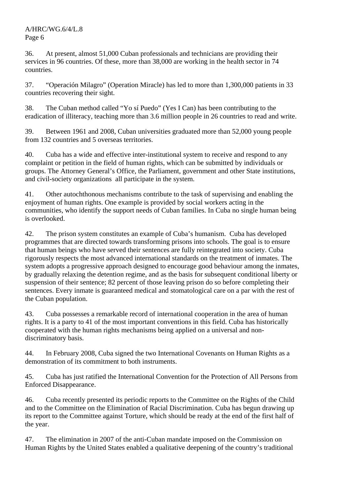36. At present, almost 51,000 Cuban professionals and technicians are providing their services in 96 countries. Of these, more than 38,000 are working in the health sector in 74 countries.

37. "Operación Milagro" (Operation Miracle) has led to more than 1,300,000 patients in 33 countries recovering their sight.

38. The Cuban method called "Yo sí Puedo" (Yes I Can) has been contributing to the eradication of illiteracy, teaching more than 3.6 million people in 26 countries to read and write.

39. Between 1961 and 2008, Cuban universities graduated more than 52,000 young people from 132 countries and 5 overseas territories.

40. Cuba has a wide and effective inter-institutional system to receive and respond to any complaint or petition in the field of human rights, which can be submitted by individuals or groups. The Attorney General's Office, the Parliament, government and other State institutions, and civil-society organizations all participate in the system.

41. Other autochthonous mechanisms contribute to the task of supervising and enabling the enjoyment of human rights. One example is provided by social workers acting in the communities, who identify the support needs of Cuban families. In Cuba no single human being is overlooked.

42. The prison system constitutes an example of Cuba's humanism. Cuba has developed programmes that are directed towards transforming prisons into schools. The goal is to ensure that human beings who have served their sentences are fully reintegrated into society. Cuba rigorously respects the most advanced international standards on the treatment of inmates. The system adopts a progressive approach designed to encourage good behaviour among the inmates, by gradually relaxing the detention regime, and as the basis for subsequent conditional liberty or suspension of their sentence; 82 percent of those leaving prison do so before completing their sentences. Every inmate is guaranteed medical and stomatological care on a par with the rest of the Cuban population.

43. Cuba possesses a remarkable record of international cooperation in the area of human rights. It is a party to 41 of the most important conventions in this field. Cuba has historically cooperated with the human rights mechanisms being applied on a universal and nondiscriminatory basis.

44. In February 2008, Cuba signed the two International Covenants on Human Rights as a demonstration of its commitment to both instruments.

45. Cuba has just ratified the International Convention for the Protection of All Persons from Enforced Disappearance.

46. Cuba recently presented its periodic reports to the Committee on the Rights of the Child and to the Committee on the Elimination of Racial Discrimination. Cuba has begun drawing up its report to the Committee against Torture, which should be ready at the end of the first half of the year.

47. The elimination in 2007 of the anti-Cuban mandate imposed on the Commission on Human Rights by the United States enabled a qualitative deepening of the country's traditional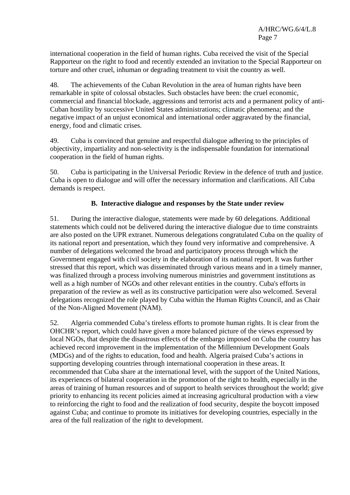international cooperation in the field of human rights. Cuba received the visit of the Special Rapporteur on the right to food and recently extended an invitation to the Special Rapporteur on torture and other cruel, inhuman or degrading treatment to visit the country as well.

48. The achievements of the Cuban Revolution in the area of human rights have been remarkable in spite of colossal obstacles. Such obstacles have been: the cruel economic, commercial and financial blockade, aggressions and terrorist acts and a permanent policy of anti-Cuban hostility by successive United States administrations; climatic phenomena; and the negative impact of an unjust economical and international order aggravated by the financial, energy, food and climatic crises.

49. Cuba is convinced that genuine and respectful dialogue adhering to the principles of objectivity, impartiality and non-selectivity is the indispensable foundation for international cooperation in the field of human rights.

50. Cuba is participating in the Universal Periodic Review in the defence of truth and justice. Cuba is open to dialogue and will offer the necessary information and clarifications. All Cuba demands is respect.

#### **B. Interactive dialogue and responses by the State under review**

51. During the interactive dialogue, statements were made by 60 delegations. Additional statements which could not be delivered during the interactive dialogue due to time constraints are also posted on the UPR extranet. Numerous delegations congratulated Cuba on the quality of its national report and presentation, which they found very informative and comprehensive. A number of delegations welcomed the broad and participatory process through which the Government engaged with civil society in the elaboration of its national report. It was further stressed that this report, which was disseminated through various means and in a timely manner, was finalized through a process involving numerous ministries and government institutions as well as a high number of NGOs and other relevant entities in the country. Cuba's efforts in preparation of the review as well as its constructive participation were also welcomed. Several delegations recognized the role played by Cuba within the Human Rights Council, and as Chair of the Non-Aligned Movement (NAM).

52. Algeria commended Cuba's tireless efforts to promote human rights. It is clear from the OHCHR's report, which could have given a more balanced picture of the views expressed by local NGOs, that despite the disastrous effects of the embargo imposed on Cuba the country has achieved record improvement in the implementation of the Millennium Development Goals (MDGs) and of the rights to education, food and health. Algeria praised Cuba's actions in supporting developing countries through international cooperation in these areas. It recommended that Cuba share at the international level, with the support of the United Nations, its experiences of bilateral cooperation in the promotion of the right to health, especially in the areas of training of human resources and of support to health services throughout the world; give priority to enhancing its recent policies aimed at increasing agricultural production with a view to reinforcing the right to food and the realization of food security, despite the boycott imposed against Cuba; and continue to promote its initiatives for developing countries, especially in the area of the full realization of the right to development.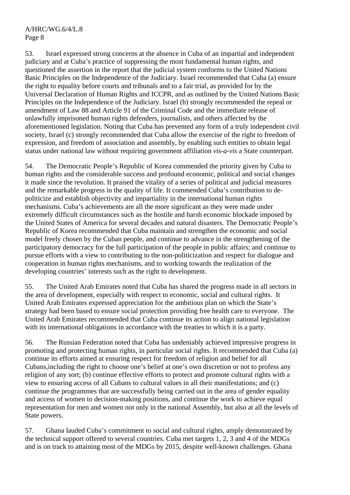53. Israel expressed strong concerns at the absence in Cuba of an impartial and independent judiciary and at Cuba's practice of suppressing the most fundamental human rights, and questioned the assertion in the report that the judicial system conforms to the United Nations Basic Principles on the Independence of the Judiciary. Israel recommended that Cuba (a) ensure the right to equality before courts and tribunals and to a fair trial, as provided for by the Universal Declaration of Human Rights and ICCPR, and as outlined by the United Nations Basic Principles on the Independence of the Judiciary. Israel (b) strongly recommended the repeal or amendment of Law 88 and Article 91 of the Criminal Code and the immediate release of unlawfully imprisoned human rights defenders, journalists, and others affected by the aforementioned legislation. Noting that Cuba has prevented any form of a truly independent civil society, Israel (c) strongly recommended that Cuba allow the exercise of the right to freedom of expression, and freedom of association and assembly, by enabling such entities to obtain legal status under national law without requiring government affiliation *vis-a-vis* a State counterpart.

54. The Democratic People's Republic of Korea commended the priority given by Cuba to human rights and the considerable success and profound economic, political and social changes it made since the revolution. It praised the vitality of a series of political and judicial measures and the remarkable progress in the quality of life. It commended Cuba's contribution to depoliticize and establish objectivity and impartiality in the international human rights mechanisms. Cuba's achievements are all the more significant as they were made under extremely difficult circumstances such as the hostile and harsh economic blockade imposed by the United States of America for several decades and natural disasters. The Democratic People's Republic of Korea recommended that Cuba maintain and strengthen the economic and social model freely chosen by the Cuban people, and continue to advance in the strengthening of the participatory democracy for the full participation of the people in public affairs; and continue to pursue efforts with a view to contributing to the non-politicization and respect for dialogue and cooperation in human rights mechanisms, and to working towards the realization of the developing countries' interests such as the right to development.

55. The United Arab Emirates noted that Cuba has shared the progress made in all sectors in the area of development, especially with respect to economic, social and cultural rights. It United Arab Emirates expressed appreciation for the ambitious plan on which the State's strategy had been based to ensure social protection providing free health care to everyone. The United Arab Emirates recommended that Cuba continue its action to align national legislation with its international obligations in accordance with the treaties to which it is a party.

56. The Russian Federation noted that Cuba has undeniably achieved impressive progress in promoting and protecting human rights, in particular social rights. It recommended that Cuba (a) continue its efforts aimed at ensuring respect for freedom of religion and belief for all Cubans,including the right to choose one's belief at one's own discretion or not to profess any religion of any sort; (b) continue effective efforts to protect and promote cultural rights with a view to ensuring access of all Cubans to cultural values in all their manifestations; and (c) continue the programmes that are successfully being carried out in the area of gender equality and access of women to decision-making positions, and continue the work to achieve equal representation for men and women not only in the national Assembly, but also at all the levels of State powers.

57. Ghana lauded Cuba's commitment to social and cultural rights, amply demonstrated by the technical support offered to several countries. Cuba met targets 1, 2, 3 and 4 of the MDGs and is on track to attaining most of the MDGs by 2015, despite well-known challenges. Ghana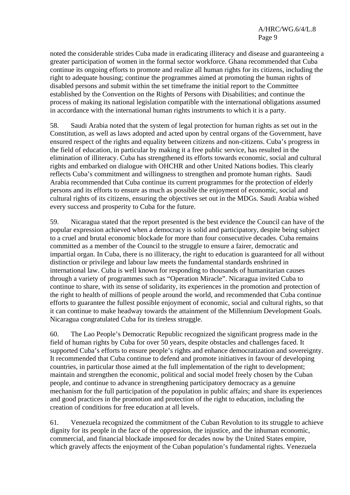noted the considerable strides Cuba made in eradicating illiteracy and disease and guaranteeing a greater participation of women in the formal sector workforce. Ghana recommended that Cuba continue its ongoing efforts to promote and realize all human rights for its citizens, including the right to adequate housing; continue the programmes aimed at promoting the human rights of disabled persons and submit within the set timeframe the initial report to the Committee established by the Convention on the Rights of Persons with Disabilities; and continue the process of making its national legislation compatible with the international obligations assumed in accordance with the international human rights instruments to which it is a party.

58. Saudi Arabia noted that the system of legal protection for human rights as set out in the Constitution, as well as laws adopted and acted upon by central organs of the Government, have ensured respect of the rights and equality between citizens and non-citizens. Cuba's progress in the field of education, in particular by making it a free public service, has resulted in the elimination of illiteracy. Cuba has strengthened its efforts towards economic, social and cultural rights and embarked on dialogue with OHCHR and other United Nations bodies. This clearly reflects Cuba's commitment and willingness to strengthen and promote human rights. Saudi Arabia recommended that Cuba continue its current programmes for the protection of elderly persons and its efforts to ensure as much as possible the enjoyment of economic, social and cultural rights of its citizens, ensuring the objectives set out in the MDGs. Saudi Arabia wished every success and prosperity to Cuba for the future.

59. Nicaragua stated that the report presented is the best evidence the Council can have of the popular expression achieved when a democracy is solid and participatory, despite being subject to a cruel and brutal economic blockade for more than four consecutive decades. Cuba remains committed as a member of the Council to the struggle to ensure a fairer, democratic and impartial organ. In Cuba, there is no illiteracy, the right to education is guaranteed for all without distinction or privilege and labour law meets the fundamental standards enshrined in international law. Cuba is well known for responding to thousands of humanitarian causes through a variety of programmes such as "Operation Miracle". Nicaragua invited Cuba to continue to share, with its sense of solidarity, its experiences in the promotion and protection of the right to health of millions of people around the world, and recommended that Cuba continue efforts to guarantee the fullest possible enjoyment of economic, social and cultural rights, so that it can continue to make headway towards the attainment of the Millennium Development Goals. Nicaragua congratulated Cuba for its tireless struggle.

60. The Lao People's Democratic Republic recognized the significant progress made in the field of human rights by Cuba for over 50 years, despite obstacles and challenges faced. It supported Cuba's efforts to ensure people's rights and enhance democratization and sovereignty. It recommended that Cuba continue to defend and promote initiatives in favour of developing countries, in particular those aimed at the full implementation of the right to development; maintain and strengthen the economic, political and social model freely chosen by the Cuban people, and continue to advance in strengthening participatory democracy as a genuine mechanism for the full participation of the population in public affairs; and share its experiences and good practices in the promotion and protection of the right to education, including the creation of conditions for free education at all levels.

61. Venezuela recognized the commitment of the Cuban Revolution to its struggle to achieve dignity for its people in the face of the oppression, the injustice, and the inhuman economic, commercial, and financial blockade imposed for decades now by the United States empire, which gravely affects the enjoyment of the Cuban population's fundamental rights. Venezuela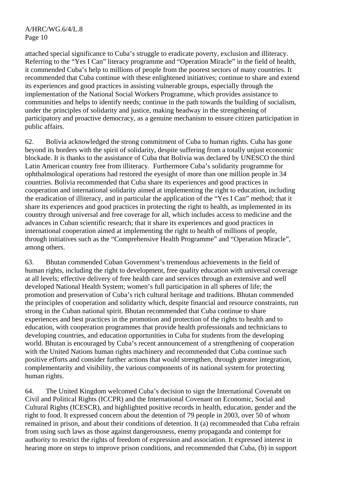attached special significance to Cuba's struggle to eradicate poverty, exclusion and illiteracy. Referring to the "Yes I Can" literacy programme and "Operation Miracle" in the field of health, it commended Cuba's help to millions of people from the poorest sectors of many countries. It recommended that Cuba continue with these enlightened initiatives; continue to share and extend its experiences and good practices in assisting vulnerable groups, especially through the implementation of the National Social Workers Programme, which provides assistance to communities and helps to identify needs; continue in the path towards the building of socialism, under the principles of solidarity and justice, making headway in the strengthening of participatory and proactive democracy, as a genuine mechanism to ensure citizen participation in public affairs.

62. Bolivia acknowledged the strong commitment of Cuba to human rights. Cuba has gone beyond its borders with the spirit of solidarity, despite suffering from a totally unjust economic blockade. It is thanks to the assistance of Cuba that Bolivia was declared by UNESCO the third Latin American country free from illiteracy. Furthermore Cuba's solidarity programme for ophthalmological operations had restored the eyesight of more than one million people in 34 countries. Bolivia recommended that Cuba share its experiences and good practices in cooperation and international solidarity aimed at implementing the right to education, including the eradication of illiteracy, and in particular the application of the "Yes I Can" method; that it share its experiences and good practices in protecting the right to health, as implemented in its country through universal and free coverage for all, which includes access to medicine and the advances in Cuban scientific research; that it share its experiences and good practices in international cooperation aimed at implementing the right to health of millions of people, through initiatives such as the "Comprehensive Health Programme" and "Operation Miracle", among others.

63. Bhutan commended Cuban Government's tremendous achievements in the field of human rights, including the right to development, free quality education with universal coverage at all levels; effective delivery of free health care and services through an extensive and well developed National Health System; women's full participation in all spheres of life; the promotion and preservation of Cuba's rich cultural heritage and traditions. Bhutan commended the principles of cooperation and solidarity which, despite financial and resource constraints, run strong in the Cuban national spirit. Bhutan recommended that Cuba continue to share experiences and best practices in the promotion and protection of the rights to health and to education, with cooperation programmes that provide health professionals and technicians to developing countries, and education opportunities in Cuba for students from the developing world. Bhutan is encouraged by Cuba's recent announcement of a strengthening of cooperation with the United Nations human rights machinery and recommended that Cuba continue such positive efforts and consider further actions that would strengthen, through greater integration, complementarity and visibility, the various components of its national system for protecting human rights.

64. The United Kingdom welcomed Cuba's decision to sign the International Covenabt on Civil and Political Rights (ICCPR) and the International Covenant on Economic, Social and Cultural Rights (ICESCR), and highlighted positive records in health, education, gender and the right to food. It expressed concern about the detention of 79 people in 2003, over 50 of whom remained in prison, and about their conditions of detention. It (a) recommended that Cuba refrain from using such laws as those against dangerousness, enemy propaganda and contempt for authority to restrict the rights of freedom of expression and association. It expressed interest in hearing more on steps to improve prison conditions, and recommended that Cuba, (b) in support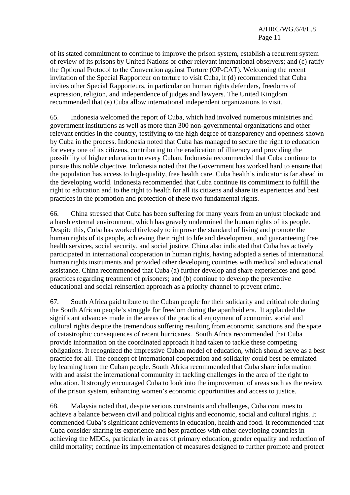of its stated commitment to continue to improve the prison system, establish a recurrent system of review of its prisons by United Nations or other relevant international observers; and (c) ratify the Optional Protocol to the Convention against Torture (OP-CAT). Welcoming the recent invitation of the Special Rapporteur on torture to visit Cuba, it (d) recommended that Cuba invites other Special Rapporteurs, in particular on human rights defenders, freedoms of expression, religion, and independence of judges and lawyers. The United Kingdom recommended that (e) Cuba allow international independent organizations to visit.

65. Indonesia welcomed the report of Cuba, which had involved numerous ministries and government institutions as well as more than 300 non-governmental organizations and other relevant entities in the country, testifying to the high degree of transparency and openness shown by Cuba in the process. Indonesia noted that Cuba has managed to secure the right to education for every one of its citizens, contributing to the eradication of illiteracy and providing the possibility of higher education to every Cuban. Indonesia recommended that Cuba continue to pursue this noble objective. Indonesia noted that the Government has worked hard to ensure that the population has access to high-quality, free health care. Cuba health's indicator is far ahead in the developing world. Indonesia recommended that Cuba continue its commitment to fulfill the right to education and to the right to health for all its citizens and share its experiences and best practices in the promotion and protection of these two fundamental rights.

66. China stressed that Cuba has been suffering for many years from an unjust blockade and a harsh external environment, which has gravely undermined the human rights of its people. Despite this, Cuba has worked tirelessly to improve the standard of living and promote the human rights of its people, achieving their right to life and development, and guaranteeing free health services, social security, and social justice. China also indicated that Cuba has actively participated in international cooperation in human rights, having adopted a series of international human rights instruments and provided other developing countries with medical and educational assistance. China recommended that Cuba (a) further develop and share experiences and good practices regarding treatment of prisoners; and (b) continue to develop the preventive educational and social reinsertion approach as a priority channel to prevent crime.

67. South Africa paid tribute to the Cuban people for their solidarity and critical role during the South African people's struggle for freedom during the apartheid era. It applauded the significant advances made in the areas of the practical enjoyment of economic, social and cultural rights despite the tremendous suffering resulting from economic sanctions and the spate of catastrophic consequences of recent hurricanes. South Africa recommended that Cuba provide information on the coordinated approach it had taken to tackle these competing obligations. It recognized the impressive Cuban model of education, which should serve as a best practice for all. The concept of international cooperation and solidarity could best be emulated by learning from the Cuban people. South Africa recommended that Cuba share information with and assist the international community in tackling challenges in the area of the right to education. It strongly encouraged Cuba to look into the improvement of areas such as the review of the prison system, enhancing women's economic opportunities and access to justice.

68. Malaysia noted that, despite serious constraints and challenges, Cuba continues to achieve a balance between civil and political rights and economic, social and cultural rights. It commended Cuba's significant achievements in education, health and food. It recommended that Cuba consider sharing its experience and best practices with other developing countries in achieving the MDGs, particularly in areas of primary education, gender equality and reduction of child mortality; continue its implementation of measures designed to further promote and protect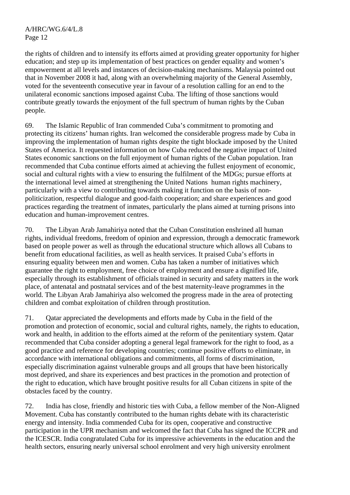the rights of children and to intensify its efforts aimed at providing greater opportunity for higher education; and step up its implementation of best practices on gender equality and women's empowerment at all levels and instances of decision-making mechanisms. Malaysia pointed out that in November 2008 it had, along with an overwhelming majority of the General Assembly, voted for the seventeenth consecutive year in favour of a resolution calling for an end to the unilateral economic sanctions imposed against Cuba. The lifting of those sanctions would contribute greatly towards the enjoyment of the full spectrum of human rights by the Cuban people.

69. The Islamic Republic of Iran commended Cuba's commitment to promoting and protecting its citizens' human rights. Iran welcomed the considerable progress made by Cuba in improving the implementation of human rights despite the tight blockade imposed by the United States of America. It requested information on how Cuba reduced the negative impact of United States economic sanctions on the full enjoyment of human rights of the Cuban population. Iran recommended that Cuba continue efforts aimed at achieving the fullest enjoyment of economic, social and cultural rights with a view to ensuring the fulfilment of the MDGs; pursue efforts at the international level aimed at strengthening the United Nations human rights machinery, particularly with a view to contributing towards making it function on the basis of nonpoliticization, respectful dialogue and good-faith cooperation; and share experiences and good practices regarding the treatment of inmates, particularly the plans aimed at turning prisons into education and human-improvement centres.

70. The Libyan Arab Jamahiriya noted that the Cuban Constitution enshrined all human rights, individual freedoms, freedom of opinion and expression, through a democratic framework based on people power as well as through the educational structure which allows all Cubans to benefit from educational facilities, as well as health services. It praised Cuba's efforts in ensuring equality between men and women. Cuba has taken a number of initiatives which guarantee the right to employment, free choice of employment and ensure a dignified life, especially through its establishment of officials trained in security and safety matters in the work place, of antenatal and postnatal services and of the best maternity-leave programmes in the world. The Libyan Arab Jamahiriya also welcomed the progress made in the area of protecting children and combat exploitation of children through prostitution.

71. Qatar appreciated the developments and efforts made by Cuba in the field of the promotion and protection of economic, social and cultural rights, namely, the rights to education, work and health, in addition to the efforts aimed at the reform of the penitentiary system. Qatar recommended that Cuba consider adopting a general legal framework for the right to food, as a good practice and reference for developing countries; continue positive efforts to eliminate, in accordance with international obligations and commitments, all forms of discrimination, especially discrimination against vulnerable groups and all groups that have been historically most deprived, and share its experiences and best practices in the promotion and protection of the right to education, which have brought positive results for all Cuban citizens in spite of the obstacles faced by the country.

72. India has close, friendly and historic ties with Cuba, a fellow member of the Non-Aligned Movement. Cuba has constantly contributed to the human rights debate with its characteristic energy and intensity. India commended Cuba for its open, cooperative and constructive participation in the UPR mechanism and welcomed the fact that Cuba has signed the ICCPR and the ICESCR. India congratulated Cuba for its impressive achievements in the education and the health sectors, ensuring nearly universal school enrolment and very high university enrolment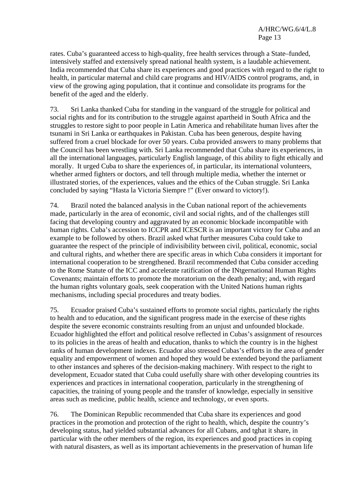rates. Cuba's guaranteed access to high-quality, free health services through a State–funded, intensively staffed and extensively spread national health system, is a laudable achievement. India recommended that Cuba share its experiences and good practices with regard to the right to health, in particular maternal and child care programs and HIV/AIDS control programs, and, in view of the growing aging population, that it continue and consolidate its programs for the benefit of the aged and the elderly.

73. Sri Lanka thanked Cuba for standing in the vanguard of the struggle for political and social rights and for its contribution to the struggle against apartheid in South Africa and the struggles to restore sight to poor people in Latin America and rehabilitate human lives after the tsunami in Sri Lanka or earthquakes in Pakistan. Cuba has been generous, despite having suffered from a cruel blockade for over 50 years. Cuba provided answers to many problems that the Council has been wrestling with. Sri Lanka recommended that Cuba share its experiences, in all the international languages, particularly English language, of this ability to fight ethically and morally. It urged Cuba to share the experiences of, in particular, its international volunteers, whether armed fighters or doctors, and tell through multiple media, whether the internet or illustrated stories, of the experiences, values and the ethics of the Cuban struggle. Sri Lanka concluded by saying "Hasta la Victoria Siempre !" (Ever onward to victory!).

74. Brazil noted the balanced analysis in the Cuban national report of the achievements made, particularly in the area of economic, civil and social rights, and of the challenges still facing that developing country and aggravated by an economic blockade incompatible with human rights. Cuba's accession to ICCPR and ICESCR is an important victory for Cuba and an example to be followed by others. Brazil asked what further measures Cuba could take to guarantee the respect of the principle of indivisibility between civil, political, economic, social and cultural rights, and whether there are specific areas in which Cuba considers it important for international cooperation to be strengthened. Brazil recommended that Cuba consider acceding to the Rome Statute of the ICC and accelerate ratification of the INtgernational Human Rights Covenants; maintain efforts to promote the moratorium on the death penalty; and, with regard the human rights voluntary goals, seek cooperation with the United Nations human rights mechanisms, including special procedures and treaty bodies.

75. Ecuador praised Cuba's sustained efforts to promote social rights, particularly the rights to health and to education, and the significant progress made in the exercise of these rights despite the severe economic constraints resulting from an unjust and unfounded blockade. Ecuador highlighted the effort and political resolve reflected in Cubas's assignment of resources to its policies in the areas of health and education, thanks to which the country is in the highest ranks of human development indexes. Ecuador also stressed Cubas's efforts in the area of gender equality and empowerment of women and hoped they would be extended beyond the parliament to other instances and spheres of the decision-making machinery. With respect to the right to development, Ecuador stated that Cuba could usefully share with other developing countries its experiences and practices in international cooperation, particularly in the strengthening of capacities, the training of young people and the transfer of knowledge, especially in sensitive areas such as medicine, public health, science and technology, or even sports.

76. The Dominican Republic recommended that Cuba share its experiences and good practices in the promotion and protection of the right to health, which, despite the country's developing status, had yielded substantial advances for all Cubans, and tghat it share, in particular with the other members of the region, its experiences and good practices in coping with natural disasters, as well as its important achievements in the preservation of human life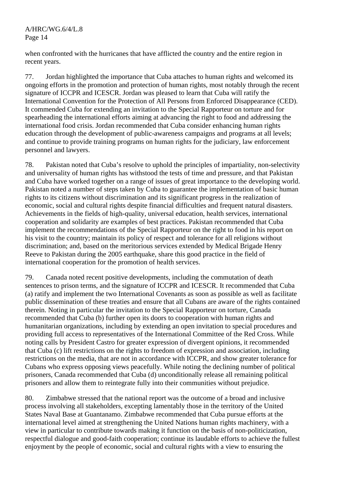when confronted with the hurricanes that have afflicted the country and the entire region in recent years.

77. Jordan highlighted the importance that Cuba attaches to human rights and welcomed its ongoing efforts in the promotion and protection of human rights, most notably through the recent signature of ICCPR and ICESCR. Jordan was pleased to learn that Cuba will ratify the International Convention for the Protection of All Persons from Enforced Disappearance (CED). It commended Cuba for extending an invitation to the Special Rapporteur on torture and for spearheading the international efforts aiming at advancing the right to food and addressing the international food crisis. Jordan recommended that Cuba consider enhancing human rights education through the development of public-awareness campaigns and programs at all levels; and continue to provide training programs on human rights for the judiciary, law enforcement personnel and lawyers.

78. Pakistan noted that Cuba's resolve to uphold the principles of impartiality, non-selectivity and universality of human rights has withstood the tests of time and pressure, and that Pakistan and Cuba have worked together on a range of issues of great importance to the developing world. Pakistan noted a number of steps taken by Cuba to guarantee the implementation of basic human rights to its citizens without discrimination and its significant progress in the realization of economic, social and cultural rights despite financial difficulties and frequent natural disasters. Achievements in the fields of high-quality, universal education, health services, international cooperation and solidarity are examples of best practices. Pakistan recommended that Cuba implement the recommendations of the Special Rapporteur on the right to food in his report on his visit to the country; maintain its policy of respect and tolerance for all religions without discrimination; and, based on the meritorious services extended by Medical Brigade Henry Reeve to Pakistan during the 2005 earthquake, share this good practice in the field of international cooperation for the promotion of health services.

79. Canada noted recent positive developments, including the commutation of death sentences to prison terms, and the signature of ICCPR and ICESCR. It recommended that Cuba (a) ratify and implement the two International Covenants as soon as possible as well as facilitate public dissemination of these treaties and ensure that all Cubans are aware of the rights contained therein. Noting in particular the invitation to the Special Rapporteur on torture, Canada recommended that Cuba (b) further open its doors to cooperation with human rights and humanitarian organizations, including by extending an open invitation to special procedures and providing full access to representatives of the International Committee of the Red Cross. While noting calls by President Castro for greater expression of divergent opinions, it recommended that Cuba (c) lift restrictions on the rights to freedom of expression and association, including restrictions on the media, that are not in accordance with ICCPR, and show greater tolerance for Cubans who express opposing views peacefully. While noting the declining number of political prisoners, Canada recommended that Cuba (d) unconditionally release all remaining political prisoners and allow them to reintegrate fully into their communities without prejudice.

80. Zimbabwe stressed that the national report was the outcome of a broad and inclusive process involving all stakeholders, excepting lamentably those in the territory of the United States Naval Base at Guantanamo. Zimbabwe recommended that Cuba pursue efforts at the international level aimed at strengthening the United Nations human rights machinery, with a view in particular to contribute towards making it function on the basis of non-politicization, respectful dialogue and good-faith cooperation; continue its laudable efforts to achieve the fullest enjoyment by the people of economic, social and cultural rights with a view to ensuring the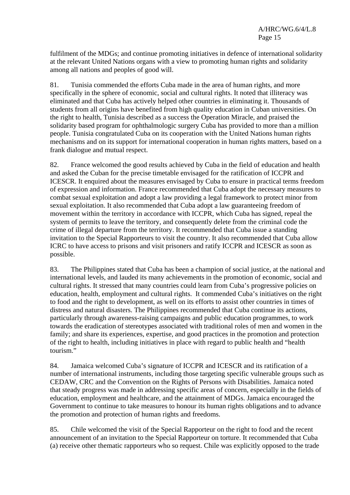fulfilment of the MDGs; and continue promoting initiatives in defence of international solidarity at the relevant United Nations organs with a view to promoting human rights and solidarity among all nations and peoples of good will.

81. Tunisia commended the efforts Cuba made in the area of human rights, and more specifically in the sphere of economic, social and cultural rights. It noted that illiteracy was eliminated and that Cuba has actively helped other countries in eliminating it. Thousands of students from all origins have benefited from high quality education in Cuban universities. On the right to health, Tunisia described as a success the Operation Miracle, and praised the solidarity based program for ophthalmologic surgery Cuba has provided to more than a million people. Tunisia congratulated Cuba on its cooperation with the United Nations human rights mechanisms and on its support for international cooperation in human rights matters, based on a frank dialogue and mutual respect.

82. France welcomed the good results achieved by Cuba in the field of education and health and asked the Cuban for the precise timetable envisaged for the ratification of ICCPR and ICESCR. It enquired about the measures envisaged by Cuba to ensure in practical terms freedom of expression and information. France recommended that Cuba adopt the necessary measures to combat sexual exploitation and adopt a law providing a legal framework to protect minor from sexual exploitation. It also recommended that Cuba adopt a law guaranteeing freedom of movement within the territory in accordance with ICCPR, which Cuba has signed, repeal the system of permits to leave the territory, and consequently delete from the criminal code the crime of illegal departure from the territory. It recommended that Cuba issue a standing invitation to the Special Rapporteurs to visit the country. It also recommended that Cuba allow ICRC to have access to prisons and visit prisoners and ratify ICCPR and ICESCR as soon as possible.

83. The Philippines stated that Cuba has been a champion of social justice, at the national and international levels, and lauded its many achievements in the promotion of economic, social and cultural rights. It stressed that many countries could learn from Cuba's progressive policies on education, health, employment and cultural rights. It commended Cuba's initiatives on the right to food and the right to development, as well on its efforts to assist other countries in times of distress and natural disasters. The Philippines recommended that Cuba continue its actions, particularly through awareness-raising campaigns and public education programmes, to work towards the eradication of stereotypes associated with traditional roles of men and women in the family; and share its experiences, expertise, and good practices in the promotion and protection of the right to health, including initiatives in place with regard to public health and "health tourism."

84. Jamaica welcomed Cuba's signature of ICCPR and ICESCR and its ratification of a number of international instruments, including those targeting specific vulnerable groups such as CEDAW, CRC and the Convention on the Rights of Persons with Disabilities. Jamaica noted that steady progress was made in addressing specific areas of concern, especially in the fields of education, employment and healthcare, and the attainment of MDGs. Jamaica encouraged the Government to continue to take measures to honour its human rights obligations and to advance the promotion and protection of human rights and freedoms.

85. Chile welcomed the visit of the Special Rapporteur on the right to food and the recent announcement of an invitation to the Special Rapporteur on torture. It recommended that Cuba (a) receive other thematic rapporteurs who so request. Chile was explicitly opposed to the trade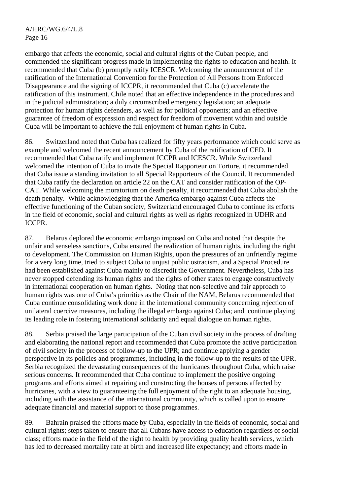embargo that affects the economic, social and cultural rights of the Cuban people, and commended the significant progress made in implementing the rights to education and health. It recommended that Cuba (b) promptly ratify ICESCR. Welcoming the announcement of the ratification of the International Convention for the Protection of All Persons from Enforced Disappearance and the signing of ICCPR, it recommended that Cuba (c) accelerate the ratification of this instrument. Chile noted that an effective independence in the procedures and in the judicial administration; a duly circumscribed emergency legislation; an adequate protection for human rights defenders, as well as for political opponents; and an effective guarantee of freedom of expression and respect for freedom of movement within and outside Cuba will be important to achieve the full enjoyment of human rights in Cuba.

86. Switzerland noted that Cuba has realized for fifty years performance which could serve as example and welcomed the recent announcement by Cuba of the ratification of CED. It recommended that Cuba ratify and implement ICCPR and ICESCR. While Switzerland welcomed the intention of Cuba to invite the Special Rapporteur on Torture, it recommended that Cuba issue a standing invitation to all Special Rapporteurs of the Council. It recommended that Cuba ratify the declaration on article 22 on the CAT and consider ratification of the OP-CAT. While welcoming the moratorium on death penalty, it recommended that Cuba abolish the death penalty. While acknowledging that the America embargo against Cuba affects the effective functioning of the Cuban society, Switzerland encouraged Cuba to continue its efforts in the field of economic, social and cultural rights as well as rights recognized in UDHR and ICCPR.

87. Belarus deplored the economic embargo imposed on Cuba and noted that despite the unfair and senseless sanctions, Cuba ensured the realization of human rights, including the right to development. The Commission on Human Rights, upon the pressures of an unfriendly regime for a very long time, tried to subject Cuba to unjust public ostracism, and a Special Procedure had been established against Cuba mainly to discredit the Government. Nevertheless, Cuba has never stopped defending its human rights and the rights of other states to engage constructively in international cooperation on human rights. Noting that non-selective and fair approach to human rights was one of Cuba's priorities as the Chair of the NAM, Belarus recommended that Cuba continue consolidating work done in the international community concerning rejection of unilateral coercive measures, including the illegal embargo against Cuba; and continue playing its leading role in fostering international solidarity and equal dialogue on human rights.

88. Serbia praised the large participation of the Cuban civil society in the process of drafting and elaborating the national report and recommended that Cuba promote the active participation of civil society in the process of follow-up to the UPR; and continue applying a gender perspective in its policies and programmes, including in the follow-up to the results of the UPR. Serbia recognized the devastating consequences of the hurricanes throughout Cuba, which raise serious concerns. It recommended that Cuba continue to implement the positive ongoing programs and efforts aimed at repairing and constructing the houses of persons affected by hurricanes, with a view to guaranteeing the full enjoyment of the right to an adequate housing, including with the assistance of the international community, which is called upon to ensure adequate financial and material support to those programmes.

89. Bahrain praised the efforts made by Cuba, especially in the fields of economic, social and cultural rights; steps taken to ensure that all Cubans have access to education regardless of social class; efforts made in the field of the right to health by providing quality health services, which has led to decreased mortality rate at birth and increased life expectancy; and efforts made in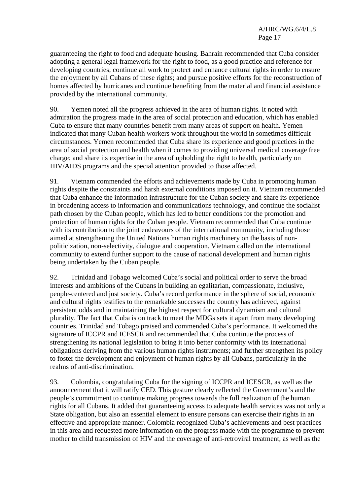guaranteeing the right to food and adequate housing. Bahrain recommended that Cuba consider adopting a general legal framework for the right to food, as a good practice and reference for developing countries; continue all work to protect and enhance cultural rights in order to ensure the enjoyment by all Cubans of these rights; and pursue positive efforts for the reconstruction of homes affected by hurricanes and continue benefiting from the material and financial assistance provided by the international community.

90. Yemen noted all the progress achieved in the area of human rights. It noted with admiration the progress made in the area of social protection and education, which has enabled Cuba to ensure that many countries benefit from many areas of support on health. Yemen indicated that many Cuban health workers work throughout the world in sometimes difficult circumstances. Yemen recommended that Cuba share its experience and good practices in the area of social protection and health when it comes to providing universal medical coverage free charge; and share its expertise in the area of upholding the right to health, particularly on HIV/AIDS programs and the special attention provided to those affected.

91. Vietnam commended the efforts and achievements made by Cuba in promoting human rights despite the constraints and harsh external conditions imposed on it. Vietnam recommended that Cuba enhance the information infrastructure for the Cuban society and share its experience in broadening access to information and communications technology, and continue the socialist path chosen by the Cuban people, which has led to better conditions for the promotion and protection of human rights for the Cuban people. Vietnam recommended that Cuba continue with its contribution to the joint endeavours of the international community, including those aimed at strengthening the United Nations human rights machinery on the basis of nonpoliticization, non-selectivity, dialogue and cooperation. Vietnam called on the international community to extend further support to the cause of national development and human rights being undertaken by the Cuban people.

92. Trinidad and Tobago welcomed Cuba's social and political order to serve the broad interests and ambitions of the Cubans in building an egalitarian, compassionate, inclusive, people-centered and just society. Cuba's record performance in the sphere of social, economic and cultural rights testifies to the remarkable successes the country has achieved, against persistent odds and in maintaining the highest respect for cultural dynamism and cultural plurality. The fact that Cuba is on track to meet the MDGs sets it apart from many developing countries. Trinidad and Tobago praised and commended Cuba's performance. It welcomed the signature of ICCPR and ICESCR and recommended that Cuba continue the process of strengthening its national legislation to bring it into better conformity with its international obligations deriving from the various human rights instruments; and further strengthen its policy to foster the development and enjoyment of human rights by all Cubans, particularly in the realms of anti-discrimination.

93. Colombia, congratulating Cuba for the signing of ICCPR and ICESCR, as well as the announcement that it will ratify CED. This gesture clearly reflected the Government's and the people's commitment to continue making progress towards the full realization of the human rights for all Cubans. It added that guaranteeing access to adequate health services was not only a State obligation, but also an essential element to ensure persons can exercise their rights in an effective and appropriate manner. Colombia recognized Cuba's achievements and best practices in this area and requested more information on the progress made with the programme to prevent mother to child transmission of HIV and the coverage of anti-retroviral treatment, as well as the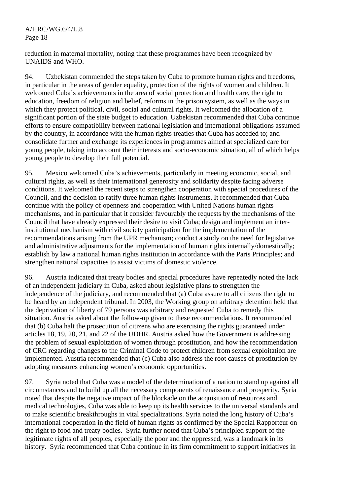reduction in maternal mortality, noting that these programmes have been recognized by UNAIDS and WHO.

94. Uzbekistan commended the steps taken by Cuba to promote human rights and freedoms, in particular in the areas of gender equality, protection of the rights of women and children. It welcomed Cuba's achievements in the area of social protection and health care, the right to education, freedom of religion and belief, reforms in the prison system, as well as the ways in which they protect political, civil, social and cultural rights. It welcomed the allocation of a significant portion of the state budget to education. Uzbekistan recommended that Cuba continue efforts to ensure compatibility between national legislation and international obligations assumed by the country, in accordance with the human rights treaties that Cuba has acceded to; and consolidate further and exchange its experiences in programmes aimed at specialized care for young people, taking into account their interests and socio-economic situation, all of which helps young people to develop their full potential.

95. Mexico welcomed Cuba's achievements, particularly in meeting economic, social, and cultural rights, as well as their international generosity and solidarity despite facing adverse conditions. It welcomed the recent steps to strengthen cooperation with special procedures of the Council, and the decision to ratify three human rights instruments. It recommended that Cuba continue with the policy of openness and cooperation with United Nations human rights mechanisms, and in particular that it consider favourably the requests by the mechanisms of the Council that have already expressed their desire to visit Cuba; design and implement an interinstitutional mechanism with civil society participation for the implementation of the recommendations arising from the UPR mechanism; conduct a study on the need for legislative and administrative adjustments for the implementation of human rights internally/domestically; establish by law a national human rights institution in accordance with the Paris Principles; and strengthen national capacities to assist victims of domestic violence.

96. Austria indicated that treaty bodies and special procedures have repeatedly noted the lack of an independent judiciary in Cuba, asked about legislative plans to strengthen the independence of the judiciary, and recommended that (a) Cuba assure to all citizens the right to be heard by an independent tribunal. In 2003, the Working group on arbitrary detention held that the deprivation of liberty of 79 persons was arbitrary and requested Cuba to remedy this situation. Austria asked about the follow-up given to these recommendations. It recommended that (b) Cuba halt the prosecution of citizens who are exercising the rights guaranteed under articles 18, 19, 20, 21, and 22 of the UDHR. Austria asked how the Government is addressing the problem of sexual exploitation of women through prostitution, and how the recommendation of CRC regarding changes to the Criminal Code to protect children from sexual exploitation are implemented. Austria recommended that (c) Cuba also address the root causes of prostitution by adopting measures enhancing women's economic opportunities.

97. Syria noted that Cuba was a model of the determination of a nation to stand up against all circumstances and to build up all the necessary components of renaissance and prosperity. Syria noted that despite the negative impact of the blockade on the acquisition of resources and medical technologies, Cuba was able to keep up its health services to the universal standards and to make scientific breakthroughs in vital specializations. Syria noted the long history of Cuba's international cooperation in the field of human rights as confirmed by the Special Rapporteur on the right to food and treaty bodies. Syria further noted that Cuba's principled support of the legitimate rights of all peoples, especially the poor and the oppressed, was a landmark in its history. Syria recommended that Cuba continue in its firm commitment to support initiatives in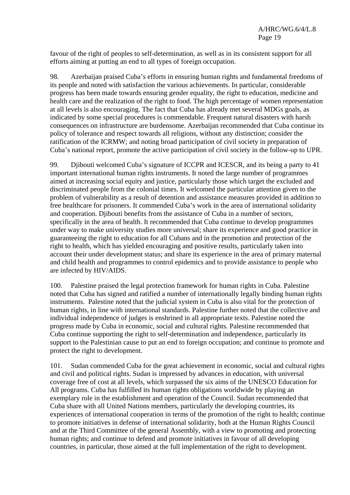favour of the right of peoples to self-determination, as well as in its consistent support for all efforts aiming at putting an end to all types of foreign occupation.

98. Azerbaijan praised Cuba's efforts in ensuring human rights and fundamental freedoms of its people and noted with satisfaction the various achievements. In particular, considerable progress has been made towards ensuring gender equality, the right to education, medicine and health care and the realization of the right to food. The high percentage of women representation at all levels is also encouraging. The fact that Cuba has already met several MDGs goals, as indicated by some special procedures is commendable. Frequent natural disasters with harsh consequences on infrastructure are burdensome. Azerbaijan recommended that Cuba continue its policy of tolerance and respect towards all religions, without any distinction; consider the ratification of the ICRMW; and noting broad participation of civil society in preparation of Cuba's national report, promote the active participation of civil society in the follow-up to UPR.

99. Djibouti welcomed Cuba's signature of ICCPR and ICESCR, and its being a party to 41 important international human rights instruments. It noted the large number of programmes aimed at increasing social equity and justice, particularly those which target the excluded and discriminated people from the colonial times. It welcomed the particular attention given to the problem of vulnerability as a result of detention and assistance measures provided in addition to free healthcare for prisoners. It commended Cuba's work in the area of international solidarity and cooperation. Djibouti benefits from the assistance of Cuba in a number of sectors, specifically in the area of health. It recommended that Cuba continue to develop programmes under way to make university studies more universal; share its experience and good practice in guaranteeing the right to education for all Cubans and in the promotion and protection of the right to health, which has yielded encouraging and positive results, particularly taken into account their under development status; and share its experience in the area of primary maternal and child health and programmes to control epidemics and to provide assistance to people who are infected by HIV/AIDS.

100. Palestine praised the legal protection framework for human rights in Cuba. Palestine noted that Cuba has signed and ratified a number of internationally legally binding human rights instruments. Palestine noted that the judicial system in Cuba is also vital for the protection of human rights, in line with international standards. Palestine further noted that the collective and individual independence of judges is enshrined in all appropriate texts. Palestine noted the progress made by Cuba in economic, social and cultural rights. Palestine recommended that Cuba continue supporting the right to self-determination and independence, particularly its support to the Palestinian cause to put an end to foreign occupation; and continue to promote and protect the right to development.

101. Sudan commended Cuba for the great achievement in economic, social and cultural rights and civil and political rights. Sudan is impressed by advances in education, with universal coverage free of cost at all levels, which surpassed the six aims of the UNESCO Education for All programs. Cuba has fulfilled its human rights obligations worldwide by playing an exemplary role in the establishment and operation of the Council. Sudan recommended that Cuba share with all United Nations members, particularly the developing countries, its experiences of international cooperation in terms of the promotion of the right to health; continue to promote initiatives in defense of international solidarity, both at the Human Rights Council and at the Third Committee of the general Assembly, with a view to promoting and protecting human rights; and continue to defend and promote initiatives in favour of all developing countries, in particular, those aimed at the full implementation of the right to development.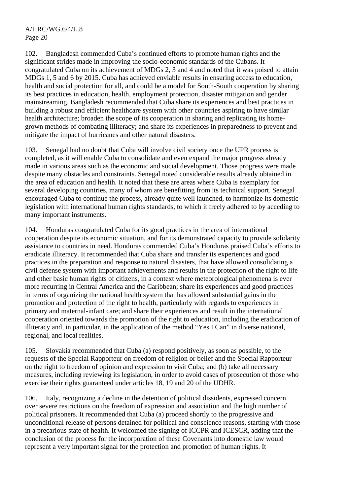102. Bangladesh commended Cuba's continued efforts to promote human rights and the significant strides made in improving the socio-economic standards of the Cubans. It congratulated Cuba on its achievement of MDGs 2, 3 and 4 and noted that it was poised to attain MDGs 1, 5 and 6 by 2015. Cuba has achieved enviable results in ensuring access to education, health and social protection for all, and could be a model for South-South cooperation by sharing its best practices in education, health, employment protection, disaster mitigation and gender mainstreaming. Bangladesh recommended that Cuba share its experiences and best practices in building a robust and efficient healthcare system with other countries aspiring to have similar health architecture; broaden the scope of its cooperation in sharing and replicating its homegrown methods of combating illiteracy; and share its experiences in preparedness to prevent and mitigate the impact of hurricanes and other natural disasters.

103. Senegal had no doubt that Cuba will involve civil society once the UPR process is completed, as it will enable Cuba to consolidate and even expand the major progress already made in various areas such as the economic and social development. Those progress were made despite many obstacles and constraints. Senegal noted considerable results already obtained in the area of education and health. It noted that these are areas where Cuba is exemplary for several developing countries, many of whom are benefitting from its technical support. Senegal encouraged Cuba to continue the process, already quite well launched, to harmonize its domestic legislation with international human rights standards, to which it freely adhered to by acceding to many important instruments.

104. Honduras congratulated Cuba for its good practices in the area of international cooperation despite its economic situation, and for its demonstrated capacity to provide solidarity assistance to countries in need. Honduras commended Cuba's Honduras praised Cuba's efforts to eradicate illiteracy. It recommended that Cuba share and transfer its experiences and good practices in the preparation and response to natural disasters, that have allowed consolidating a civil defense system with important achievements and results in the protection of the right to life and other basic human rights of citizens, in a context where meteorological phenomena is ever more recurring in Central America and the Caribbean; share its experiences and good practices in terms of organizing the national health system that has allowed substantial gains in the promotion and protection of the right to health, particularly with regards to experiences in primary and maternal-infant care; and share their experiences and result in the international cooperation oriented towards the promotion of the right to education, including the eradication of illiteracy and, in particular, in the application of the method "Yes I Can" in diverse national, regional, and local realities.

105. Slovakia recommended that Cuba (a) respond positively, as soon as possible, to the requests of the Special Rapporteur on freedom of religion or belief and the Special Rapporteur on the right to freedom of opinion and expression to visit Cuba; and (b) take all necessary measures, including reviewing its legislation, in order to avoid cases of prosecution of those who exercise their rights guaranteed under articles 18, 19 and 20 of the UDHR.

106. Italy, recognizing a decline in the detention of political dissidents, expressed concern over severe restrictions on the freedom of expression and association and the high number of political prisoners. It recommended that Cuba (a) proceed shortly to the progressive and unconditional release of persons detained for political and conscience reasons, starting with those in a precarious state of health. It welcomed the signing of ICCPR and ICESCR, adding that the conclusion of the process for the incorporation of these Covenants into domestic law would represent a very important signal for the protection and promotion of human rights. It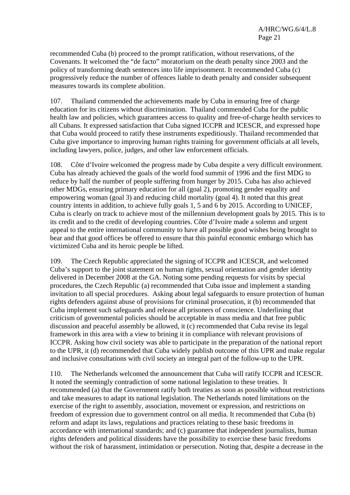recommended Cuba (b) proceed to the prompt ratification, without reservations, of the Covenants. It welcomed the "de facto" moratorium on the death penalty since 2003 and the policy of transforming death sentences into life imprisonment. It recommended Cuba (c) progressively reduce the number of offences liable to death penalty and consider subsequent measures towards its complete abolition.

107. Thailand commended the achievements made by Cuba in ensuring free of charge education for its citizens without discrimination. Thailand commended Cuba for the public health law and policies, which guarantees access to quality and free-of-charge health services to all Cubans. It expressed satisfaction that Cuba signed ICCPR and ICESCR, and expressed hope that Cuba would proceed to ratify these instruments expeditiously. Thailand recommended that Cuba give importance to improving human rights training for government officials at all levels, including lawyers, police, judges, and other law enforcement officials.

108. Côte d'Ivoire welcomed the progress made by Cuba despite a very difficult environment. Cuba has already achieved the goals of the world food summit of 1996 and the first MDG to reduce by half the number of people suffering from hunger by 2015. Cuba has also achieved other MDGs, ensuring primary education for all (goal 2), promoting gender equality and empowering woman (goal 3) and reducing child mortality (goal 4). It noted that this great country intents in addition, to achieve fully goals 1, 5 and 6 by 2015. According to UNICEF, Cuba is clearly on track to achieve most of the millennium development goals by 2015. This is to its credit and to the credit of developing countries. Côte d'Ivoire made a solemn and urgent appeal to the entire international community to have all possible good wishes being brought to bear and that good offices be offered to ensure that this painful economic embargo which has victimized Cuba and its heroic people be lifted.

109. The Czech Republic appreciated the signing of ICCPR and ICESCR, and welcomed Cuba's support to the joint statement on human rights, sexual orientation and gender identity delivered in December 2008 at the GA. Noting some pending requests for visits by special procedures, the Czech Republic (a) recommended that Cuba issue and implement a standing invitation to all special procedures. Asking about legal safeguards to ensure protection of human rights defenders against abuse of provisions for criminal prosecution, it (b) recommended that Cuba implement such safeguards and release all prisoners of conscience. Underlining that criticism of governmental policies should be acceptable in mass media and that free public discussion and peaceful assembly be allowed, it (c) recommended that Cuba revise its legal framework in this area with a view to brining it in compliance with relevant provisions of ICCPR. Asking how civil society was able to participate in the preparation of the national report to the UPR, it (d) recommended that Cuba widely publish outcome of this UPR and make regular and inclusive consultations with civil society an integral part of the follow-up to the UPR.

110. The Netherlands welcomed the announcement that Cuba will ratify ICCPR and ICESCR. It noted the seemingly contradiction of some national legislation to these treaties. It recommended (a) that the Government ratify both treaties as soon as possible without restrictions and take measures to adapt its national legislation. The Netherlands noted limitations on the exercise of the right to assembly, association, movement or expression, and restrictions on freedom of expression due to government control on all media. It recommended that Cuba (b) reform and adapt its laws, regulations and practices relating to these basic freedoms in accordance with international standards; and (c) guarantee that independent journalists, human rights defenders and political dissidents have the possibility to exercise these basic freedoms without the risk of harassment, intimidation or persecution. Noting that, despite a decrease in the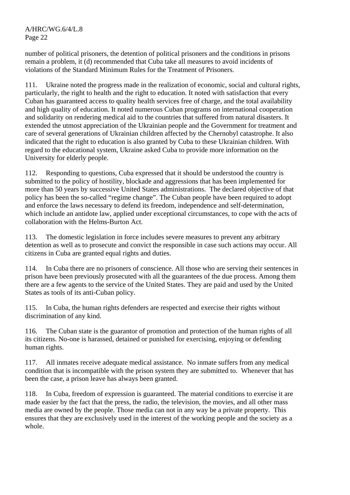number of political prisoners, the detention of political prisoners and the conditions in prisons remain a problem, it (d) recommended that Cuba take all measures to avoid incidents of violations of the Standard Minimum Rules for the Treatment of Prisoners.

111. Ukraine noted the progress made in the realization of economic, social and cultural rights, particularly, the right to health and the right to education. It noted with satisfaction that every Cuban has guaranteed access to quality health services free of charge, and the total availability and high quality of education. It noted numerous Cuban programs on international cooperation and solidarity on rendering medical aid to the countries that suffered from natural disasters. It extended the utmost appreciation of the Ukrainian people and the Government for treatment and care of several generations of Ukrainian children affected by the Chernobyl catastrophe. It also indicated that the right to education is also granted by Cuba to these Ukrainian children. With regard to the educational system, Ukraine asked Cuba to provide more information on the University for elderly people.

112. Responding to questions, Cuba expressed that it should be understood the country is submitted to the policy of hostility, blockade and aggressions that has been implemented for more than 50 years by successive United States administrations. The declared objective of that policy has been the so-called "regime change". The Cuban people have been required to adopt and enforce the laws necessary to defend its freedom, independence and self-determination, which include an antidote law, applied under exceptional circumstances, to cope with the acts of collaboration with the Helms-Burton Act.

113. The domestic legislation in force includes severe measures to prevent any arbitrary detention as well as to prosecute and convict the responsible in case such actions may occur. All citizens in Cuba are granted equal rights and duties.

114. In Cuba there are no prisoners of conscience. All those who are serving their sentences in prison have been previously prosecuted with all the guarantees of the due process. Among them there are a few agents to the service of the United States. They are paid and used by the United States as tools of its anti-Cuban policy.

115. In Cuba, the human rights defenders are respected and exercise their rights without discrimination of any kind.

116. The Cuban state is the guarantor of promotion and protection of the human rights of all its citizens. No-one is harassed, detained or punished for exercising, enjoying or defending human rights.

117. All inmates receive adequate medical assistance. No inmate suffers from any medical condition that is incompatible with the prison system they are submitted to. Whenever that has been the case, a prison leave has always been granted.

118. In Cuba, freedom of expression is guaranteed. The material conditions to exercise it are made easier by the fact that the press, the radio, the television, the movies, and all other mass media are owned by the people. Those media can not in any way be a private property. This ensures that they are exclusively used in the interest of the working people and the society as a whole.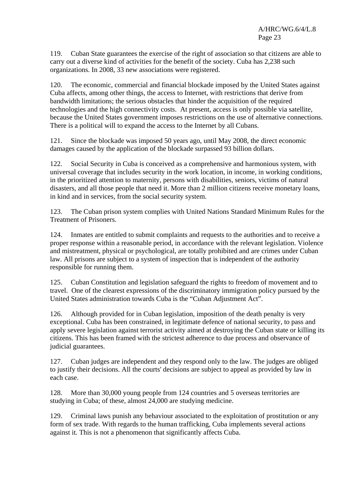119. Cuban State guarantees the exercise of the right of association so that citizens are able to carry out a diverse kind of activities for the benefit of the society. Cuba has 2,238 such organizations. In 2008, 33 new associations were registered.

120. The economic, commercial and financial blockade imposed by the United States against Cuba affects, among other things, the access to Internet, with restrictions that derive from bandwidth limitations; the serious obstacles that hinder the acquisition of the required technologies and the high connectivity costs. At present, access is only possible via satellite, because the United States government imposes restrictions on the use of alternative connections. There is a political will to expand the access to the Internet by all Cubans.

121. Since the blockade was imposed 50 years ago, until May 2008, the direct economic damages caused by the application of the blockade surpassed 93 billion dollars.

122. Social Security in Cuba is conceived as a comprehensive and harmonious system, with universal coverage that includes security in the work location, in income, in working conditions, in the prioritized attention to maternity, persons with disabilities, seniors, victims of natural disasters, and all those people that need it. More than 2 million citizens receive monetary loans, in kind and in services, from the social security system.

123. The Cuban prison system complies with United Nations Standard Minimum Rules for the Treatment of Prisoners.

124. Inmates are entitled to submit complaints and requests to the authorities and to receive a proper response within a reasonable period, in accordance with the relevant legislation. Violence and mistreatment, physical or psychological, are totally prohibited and are crimes under Cuban law. All prisons are subject to a system of inspection that is independent of the authority responsible for running them.

125. Cuban Constitution and legislation safeguard the rights to freedom of movement and to travel. One of the clearest expressions of the discriminatory immigration policy pursued by the United States administration towards Cuba is the "Cuban Adjustment Act".

126. Although provided for in Cuban legislation, imposition of the death penalty is very exceptional. Cuba has been constrained, in legitimate defence of national security, to pass and apply severe legislation against terrorist activity aimed at destroying the Cuban state or killing its citizens. This has been framed with the strictest adherence to due process and observance of judicial guarantees.

127. Cuban judges are independent and they respond only to the law. The judges are obliged to justify their decisions. All the courts' decisions are subject to appeal as provided by law in each case.

128. More than 30,000 young people from 124 countries and 5 overseas territories are studying in Cuba; of these, almost 24,000 are studying medicine.

129. Criminal laws punish any behaviour associated to the exploitation of prostitution or any form of sex trade. With regards to the human trafficking, Cuba implements several actions against it. This is not a phenomenon that significantly affects Cuba.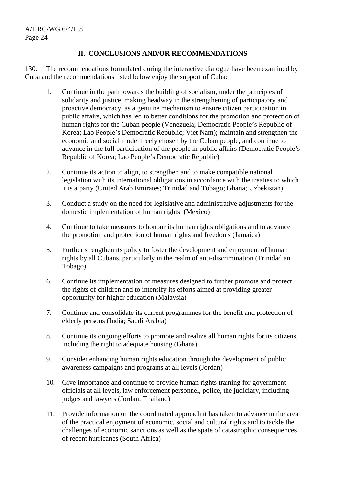## **II. CONCLUSIONS AND/OR RECOMMENDATIONS**

130. The recommendations formulated during the interactive dialogue have been examined by Cuba and the recommendations listed below enjoy the support of Cuba:

- 1. Continue in the path towards the building of socialism, under the principles of solidarity and justice, making headway in the strengthening of participatory and proactive democracy, as a genuine mechanism to ensure citizen participation in public affairs, which has led to better conditions for the promotion and protection of human rights for the Cuban people (Venezuela; Democratic People's Republic of Korea; Lao People's Democratic Republic; Viet Nam); maintain and strengthen the economic and social model freely chosen by the Cuban people, and continue to advance in the full participation of the people in public affairs (Democratic People's Republic of Korea; Lao People's Democratic Republic)
- 2. Continue its action to align, to strengthen and to make compatible national legislation with its international obligations in accordance with the treaties to which it is a party (United Arab Emirates; Trinidad and Tobago; Ghana; Uzbekistan)
- 3. Conduct a study on the need for legislative and administrative adjustments for the domestic implementation of human rights (Mexico)
- 4. Continue to take measures to honour its human rights obligations and to advance the promotion and protection of human rights and freedoms (Jamaica)
- 5. Further strengthen its policy to foster the development and enjoyment of human rights by all Cubans, particularly in the realm of anti-discrimination (Trinidad an Tobago)
- 6. Continue its implementation of measures designed to further promote and protect the rights of children and to intensify its efforts aimed at providing greater opportunity for higher education (Malaysia)
- 7. Continue and consolidate its current programmes for the benefit and protection of elderly persons (India; Saudi Arabia)
- 8. Continue its ongoing efforts to promote and realize all human rights for its citizens, including the right to adequate housing (Ghana)
- 9. Consider enhancing human rights education through the development of public awareness campaigns and programs at all levels (Jordan)
- 10. Give importance and continue to provide human rights training for government officials at all levels, law enforcement personnel, police, the judiciary, including judges and lawyers (Jordan; Thailand)
- 11. Provide information on the coordinated approach it has taken to advance in the area of the practical enjoyment of economic, social and cultural rights and to tackle the challenges of economic sanctions as well as the spate of catastrophic consequences of recent hurricanes (South Africa)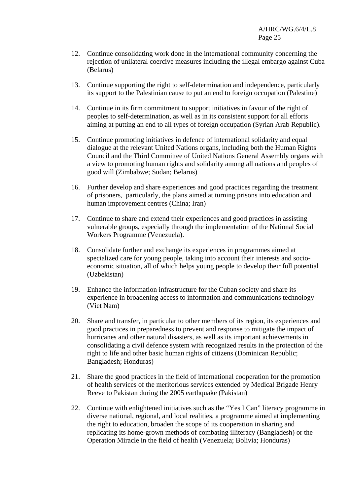- 12. Continue consolidating work done in the international community concerning the rejection of unilateral coercive measures including the illegal embargo against Cuba (Belarus)
- 13. Continue supporting the right to self-determination and independence, particularly its support to the Palestinian cause to put an end to foreign occupation (Palestine)
- 14. Continue in its firm commitment to support initiatives in favour of the right of peoples to self-determination, as well as in its consistent support for all efforts aiming at putting an end to all types of foreign occupation (Syrian Arab Republic).
- 15. Continue promoting initiatives in defence of international solidarity and equal dialogue at the relevant United Nations organs, including both the Human Rights Council and the Third Committee of United Nations General Assembly organs with a view to promoting human rights and solidarity among all nations and peoples of good will (Zimbabwe; Sudan; Belarus)
- 16. Further develop and share experiences and good practices regarding the treatment of prisoners, particularly, the plans aimed at turning prisons into education and human improvement centres (China; Iran)
- 17. Continue to share and extend their experiences and good practices in assisting vulnerable groups, especially through the implementation of the National Social Workers Programme (Venezuela).
- 18. Consolidate further and exchange its experiences in programmes aimed at specialized care for young people, taking into account their interests and socioeconomic situation, all of which helps young people to develop their full potential (Uzbekistan)
- 19. Enhance the information infrastructure for the Cuban society and share its experience in broadening access to information and communications technology (Viet Nam)
- 20. Share and transfer, in particular to other members of its region, its experiences and good practices in preparedness to prevent and response to mitigate the impact of hurricanes and other natural disasters, as well as its important achievements in consolidating a civil defence system with recognized results in the protection of the right to life and other basic human rights of citizens (Dominican Republic; Bangladesh; Honduras)
- 21. Share the good practices in the field of international cooperation for the promotion of health services of the meritorious services extended by Medical Brigade Henry Reeve to Pakistan during the 2005 earthquake (Pakistan)
- 22. Continue with enlightened initiatives such as the "Yes I Can" literacy programme in diverse national, regional, and local realities, a programme aimed at implementing the right to education, broaden the scope of its cooperation in sharing and replicating its home-grown methods of combating illiteracy (Bangladesh) or the Operation Miracle in the field of health (Venezuela; Bolivia; Honduras)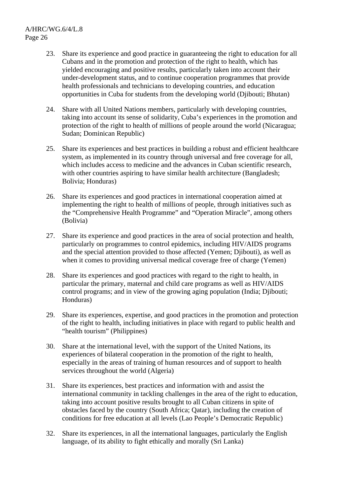- 23. Share its experience and good practice in guaranteeing the right to education for all Cubans and in the promotion and protection of the right to health, which has yielded encouraging and positive results, particularly taken into account their under-development status, and to continue cooperation programmes that provide health professionals and technicians to developing countries, and education opportunities in Cuba for students from the developing world (Djibouti; Bhutan)
- 24. Share with all United Nations members, particularly with developing countries, taking into account its sense of solidarity, Cuba's experiences in the promotion and protection of the right to health of millions of people around the world (Nicaragua; Sudan; Dominican Republic)
- 25. Share its experiences and best practices in building a robust and efficient healthcare system, as implemented in its country through universal and free coverage for all, which includes access to medicine and the advances in Cuban scientific research, with other countries aspiring to have similar health architecture (Bangladesh; Bolivia; Honduras)
- 26. Share its experiences and good practices in international cooperation aimed at implementing the right to health of millions of people, through initiatives such as the "Comprehensive Health Programme" and "Operation Miracle", among others (Bolivia)
- 27. Share its experience and good practices in the area of social protection and health, particularly on programmes to control epidemics, including HIV/AIDS programs and the special attention provided to those affected (Yemen; Djibouti), as well as when it comes to providing universal medical coverage free of charge (Yemen)
- 28. Share its experiences and good practices with regard to the right to health, in particular the primary, maternal and child care programs as well as HIV/AIDS control programs; and in view of the growing aging population (India; Djibouti; Honduras)
- 29. Share its experiences, expertise, and good practices in the promotion and protection of the right to health, including initiatives in place with regard to public health and "health tourism" (Philippines)
- 30. Share at the international level, with the support of the United Nations, its experiences of bilateral cooperation in the promotion of the right to health, especially in the areas of training of human resources and of support to health services throughout the world (Algeria)
- 31. Share its experiences, best practices and information with and assist the international community in tackling challenges in the area of the right to education, taking into account positive results brought to all Cuban citizens in spite of obstacles faced by the country (South Africa; Qatar), including the creation of conditions for free education at all levels (Lao People's Democratic Republic)
- 32. Share its experiences, in all the international languages, particularly the English language, of its ability to fight ethically and morally (Sri Lanka)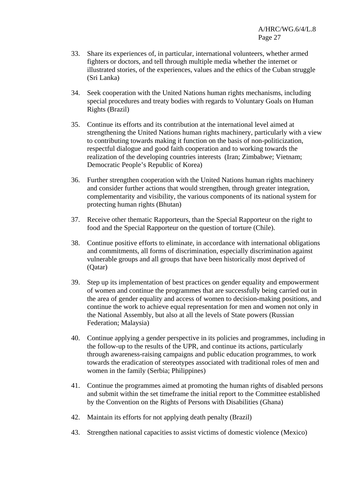- 33. Share its experiences of, in particular, international volunteers, whether armed fighters or doctors, and tell through multiple media whether the internet or illustrated stories, of the experiences, values and the ethics of the Cuban struggle (Sri Lanka)
- 34. Seek cooperation with the United Nations human rights mechanisms, including special procedures and treaty bodies with regards to Voluntary Goals on Human Rights (Brazil)
- 35. Continue its efforts and its contribution at the international level aimed at strengthening the United Nations human rights machinery, particularly with a view to contributing towards making it function on the basis of non-politicization, respectful dialogue and good faith cooperation and to working towards the realization of the developing countries interests (Iran; Zimbabwe; Vietnam; Democratic People's Republic of Korea)
- 36. Further strengthen cooperation with the United Nations human rights machinery and consider further actions that would strengthen, through greater integration, complementarity and visibility, the various components of its national system for protecting human rights (Bhutan)
- 37. Receive other thematic Rapporteurs, than the Special Rapporteur on the right to food and the Special Rapporteur on the question of torture (Chile).
- 38. Continue positive efforts to eliminate, in accordance with international obligations and commitments, all forms of discrimination, especially discrimination against vulnerable groups and all groups that have been historically most deprived of (Qatar)
- 39. Step up its implementation of best practices on gender equality and empowerment of women and continue the programmes that are successfully being carried out in the area of gender equality and access of women to decision-making positions, and continue the work to achieve equal representation for men and women not only in the National Assembly, but also at all the levels of State powers (Russian Federation; Malaysia)
- 40. Continue applying a gender perspective in its policies and programmes, including in the follow-up to the results of the UPR, and continue its actions, particularly through awareness-raising campaigns and public education programmes, to work towards the eradication of stereotypes associated with traditional roles of men and women in the family (Serbia; Philippines)
- 41. Continue the programmes aimed at promoting the human rights of disabled persons and submit within the set timeframe the initial report to the Committee established by the Convention on the Rights of Persons with Disabilities (Ghana)
- 42. Maintain its efforts for not applying death penalty (Brazil)
- 43. Strengthen national capacities to assist victims of domestic violence (Mexico)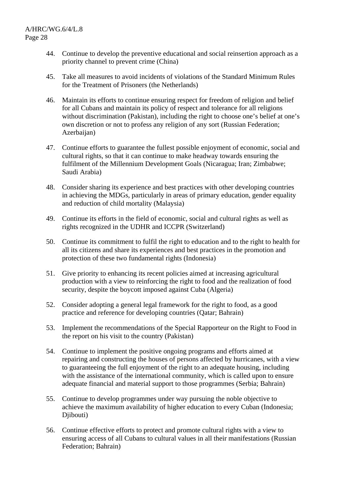- 44. Continue to develop the preventive educational and social reinsertion approach as a priority channel to prevent crime (China)
- 45. Take all measures to avoid incidents of violations of the Standard Minimum Rules for the Treatment of Prisoners (the Netherlands)
- 46. Maintain its efforts to continue ensuring respect for freedom of religion and belief for all Cubans and maintain its policy of respect and tolerance for all religions without discrimination (Pakistan), including the right to choose one's belief at one's own discretion or not to profess any religion of any sort (Russian Federation; Azerbaijan)
- 47. Continue efforts to guarantee the fullest possible enjoyment of economic, social and cultural rights, so that it can continue to make headway towards ensuring the fulfilment of the Millennium Development Goals (Nicaragua; Iran; Zimbabwe; Saudi Arabia)
- 48. Consider sharing its experience and best practices with other developing countries in achieving the MDGs, particularly in areas of primary education, gender equality and reduction of child mortality (Malaysia)
- 49. Continue its efforts in the field of economic, social and cultural rights as well as rights recognized in the UDHR and ICCPR (Switzerland)
- 50. Continue its commitment to fulfil the right to education and to the right to health for all its citizens and share its experiences and best practices in the promotion and protection of these two fundamental rights (Indonesia)
- 51. Give priority to enhancing its recent policies aimed at increasing agricultural production with a view to reinforcing the right to food and the realization of food security, despite the boycott imposed against Cuba (Algeria)
- 52. Consider adopting a general legal framework for the right to food, as a good practice and reference for developing countries (Qatar; Bahrain)
- 53. Implement the recommendations of the Special Rapporteur on the Right to Food in the report on his visit to the country (Pakistan)
- 54. Continue to implement the positive ongoing programs and efforts aimed at repairing and constructing the houses of persons affected by hurricanes, with a view to guaranteeing the full enjoyment of the right to an adequate housing, including with the assistance of the international community, which is called upon to ensure adequate financial and material support to those programmes (Serbia; Bahrain)
- 55. Continue to develop programmes under way pursuing the noble objective to achieve the maximum availability of higher education to every Cuban (Indonesia; Djibouti)
- 56. Continue effective efforts to protect and promote cultural rights with a view to ensuring access of all Cubans to cultural values in all their manifestations (Russian Federation; Bahrain)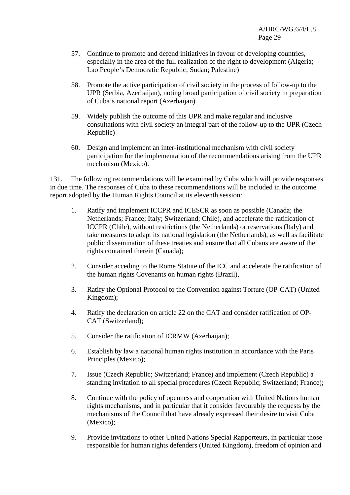- 57. Continue to promote and defend initiatives in favour of developing countries, especially in the area of the full realization of the right to development (Algeria; Lao People's Democratic Republic; Sudan; Palestine)
- 58. Promote the active participation of civil society in the process of follow-up to the UPR (Serbia, Azerbaijan), noting broad participation of civil society in preparation of Cuba's national report (Azerbaijan)
- 59. Widely publish the outcome of this UPR and make regular and inclusive consultations with civil society an integral part of the follow-up to the UPR (Czech Republic)
- 60. Design and implement an inter-institutional mechanism with civil society participation for the implementation of the recommendations arising from the UPR mechanism (Mexico).

131. The following recommendations will be examined by Cuba which will provide responses in due time. The responses of Cuba to these recommendations will be included in the outcome report adopted by the Human Rights Council at its eleventh session:

- 1. Ratify and implement ICCPR and ICESCR as soon as possible (Canada; the Netherlands; France; Italy; Switzerland; Chile), and accelerate the ratification of ICCPR (Chile), without restrictions (the Netherlands) or reservations (Italy) and take measures to adapt its national legislation (the Netherlands), as well as facilitate public dissemination of these treaties and ensure that all Cubans are aware of the rights contained therein (Canada);
- 2. Consider acceding to the Rome Statute of the ICC and accelerate the ratification of the human rights Covenants on human rights (Brazil),
- 3. Ratify the Optional Protocol to the Convention against Torture (OP-CAT) (United Kingdom);
- 4. Ratify the declaration on article 22 on the CAT and consider ratification of OP-CAT (Switzerland);
- 5. Consider the ratification of ICRMW (Azerbaijan);
- 6. Establish by law a national human rights institution in accordance with the Paris Principles (Mexico);
- 7. Issue (Czech Republic; Switzerland; France) and implement (Czech Republic) a standing invitation to all special procedures (Czech Republic; Switzerland; France);
- 8. Continue with the policy of openness and cooperation with United Nations human rights mechanisms, and in particular that it consider favourably the requests by the mechanisms of the Council that have already expressed their desire to visit Cuba (Mexico);
- 9. Provide invitations to other United Nations Special Rapporteurs, in particular those responsible for human rights defenders (United Kingdom), freedom of opinion and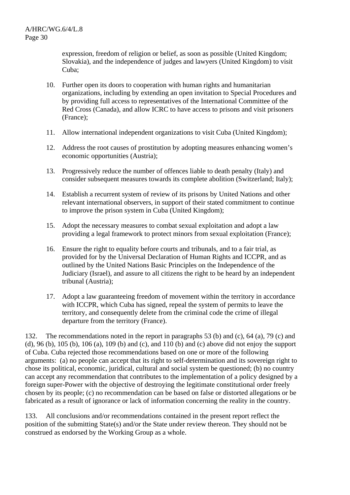expression, freedom of religion or belief, as soon as possible (United Kingdom; Slovakia), and the independence of judges and lawyers (United Kingdom) to visit Cuba;

- 10. Further open its doors to cooperation with human rights and humanitarian organizations, including by extending an open invitation to Special Procedures and by providing full access to representatives of the International Committee of the Red Cross (Canada), and allow ICRC to have access to prisons and visit prisoners (France);
- 11. Allow international independent organizations to visit Cuba (United Kingdom);
- 12. Address the root causes of prostitution by adopting measures enhancing women's economic opportunities (Austria);
- 13. Progressively reduce the number of offences liable to death penalty (Italy) and consider subsequent measures towards its complete abolition (Switzerland; Italy);
- 14. Establish a recurrent system of review of its prisons by United Nations and other relevant international observers, in support of their stated commitment to continue to improve the prison system in Cuba (United Kingdom);
- 15. Adopt the necessary measures to combat sexual exploitation and adopt a law providing a legal framework to protect minors from sexual exploitation (France);
- 16. Ensure the right to equality before courts and tribunals, and to a fair trial, as provided for by the Universal Declaration of Human Rights and ICCPR, and as outlined by the United Nations Basic Principles on the Independence of the Judiciary (Israel), and assure to all citizens the right to be heard by an independent tribunal (Austria);
- 17. Adopt a law guaranteeing freedom of movement within the territory in accordance with ICCPR, which Cuba has signed, repeal the system of permits to leave the territory, and consequently delete from the criminal code the crime of illegal departure from the territory (France).

132. The recommendations noted in the report in paragraphs 53 (b) and (c), 64 (a), 79 (c) and (d), 96 (b), 105 (b), 106 (a), 109 (b) and (c), and 110 (b) and (c) above did not enjoy the support of Cuba. Cuba rejected those recommendations based on one or more of the following arguments: (a) no people can accept that its right to self-determination and its sovereign right to chose its political, economic, juridical, cultural and social system be questioned; (b) no country can accept any recommendation that contributes to the implementation of a policy designed by a foreign super-Power with the objective of destroying the legitimate constitutional order freely chosen by its people; (c) no recommendation can be based on false or distorted allegations or be fabricated as a result of ignorance or lack of information concerning the reality in the country.

133. All conclusions and/or recommendations contained in the present report reflect the position of the submitting State(s) and/or the State under review thereon. They should not be construed as endorsed by the Working Group as a whole.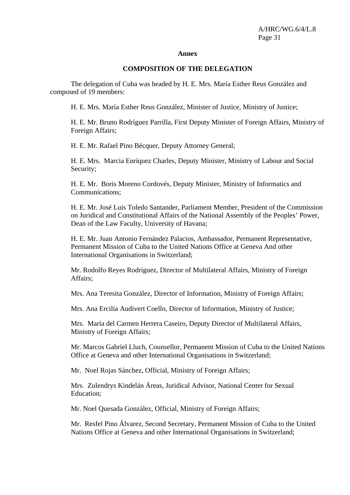#### **Annex**

#### **COMPOSITION OF THE DELEGATION**

 The delegation of Cuba was headed by H. E. Mrs. María Esther Reus González and composed of 19 members:

H. E. Mrs. María Esther Reus González, Minister of Justice, Ministry of Justice;

H. E. Mr. Bruno Rodríguez Parrilla, First Deputy Minister of Foreign Affairs, Ministry of Foreign Affairs;

H. E. Mr. Rafael Pino Bécquer, Deputy Attorney General;

H. E. Mrs. Marcia Enríquez Charles, Deputy Minister, Ministry of Labour and Social Security;

H. E. Mr. Boris Moreno Cordovés, Deputy Minister, Ministry of Informatics and Communications;

H. E. Mr. José Luis Toledo Santander, Parliament Member, President of the Commission on Juridical and Constitutional Affairs of the National Assembly of the Peoples' Power, Dean of the Law Faculty, University of Havana;

H. E. Mr. Juan Antonio Fernández Palacios, Ambassador, Permanent Representative, Permanent Mission of Cuba to the United Nations Office at Geneva And other International Organisations in Switzerland;

Mr. Rodolfo Reyes Rodríguez, Director of Multilateral Affairs, Ministry of Foreign Affairs;

Mrs. Ana Teresita González, Director of Information, Ministry of Foreign Affairs;

Mrs. Ana Ercilia Audivert Coello, Director of Information, Ministry of Justice;

Mrs. María del Carmen Herrera Caseiro, Deputy Director of Multilateral Affairs, Ministry of Foreign Affairs;

Mr. Marcos Gabriel Lluch, Counsellor, Permanent Mission of Cuba to the United Nations Office at Geneva and other International Organisations in Switzerland;

Mr. Noel Rojas Sánchez, Official, Ministry of Foreign Affairs;

Mrs. Zulendrys Kindelán Áreas, Juridical Advisor, National Center for Sexual Education;

Mr. Noel Quesada González, Official, Ministry of Foreign Affairs;

Mr. Resfel Pino Álvarez, Second Secretary, Permanent Mission of Cuba to the United Nations Office at Geneva and other International Organisations in Switzerland;